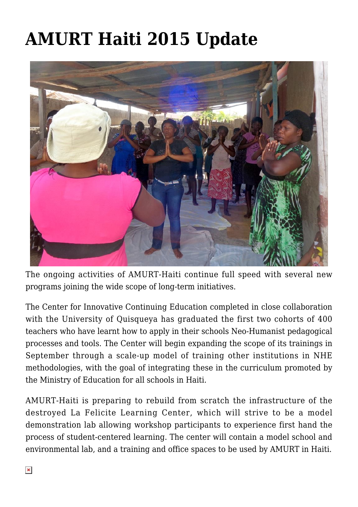## **[AMURT Haiti 2015 Update](https://crimsondawn.net/portfolio/amurt-haiti-2015-update/)**



The ongoing activities of AMURT-Haiti continue full speed with several new programs joining the wide scope of long-term initiatives.

The Center for Innovative Continuing Education completed in close collaboration with the University of Quisqueya has graduated the first two cohorts of 400 teachers who have learnt how to apply in their schools Neo-Humanist pedagogical processes and tools. The Center will begin expanding the scope of its trainings in September through a scale-up model of training other institutions in NHE methodologies, with the goal of integrating these in the curriculum promoted by the Ministry of Education for all schools in Haiti.

AMURT-Haiti is preparing to rebuild from scratch the infrastructure of the destroyed La Felicite Learning Center, which will strive to be a model demonstration lab allowing workshop participants to experience first hand the process of student-centered learning. The center will contain a model school and environmental lab, and a training and office spaces to be used by AMURT in Haiti.